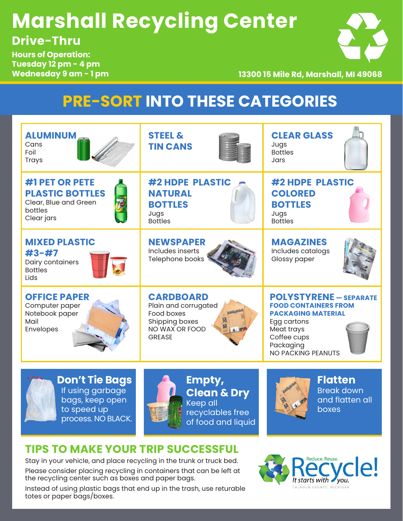## **Marshall Recycling Center Drive-Thru**

**Hours of Operation: Tuesday 12 pm - 4 pm Wednesday 9 am - 1 pm**

**13300 15 Mile Rd, Marshall, MI 49068**

## **PRE-SORT INTO THESE CATEGORIES**



Stay in your vehicle, and place recycling in the trunk or truck bed. Please consider placing recycling in containers that can be left at the recycling center such as boxes and paper bags.

Instead of using plastic bags that end up in the trash, use returable totes or paper bags/boxes.